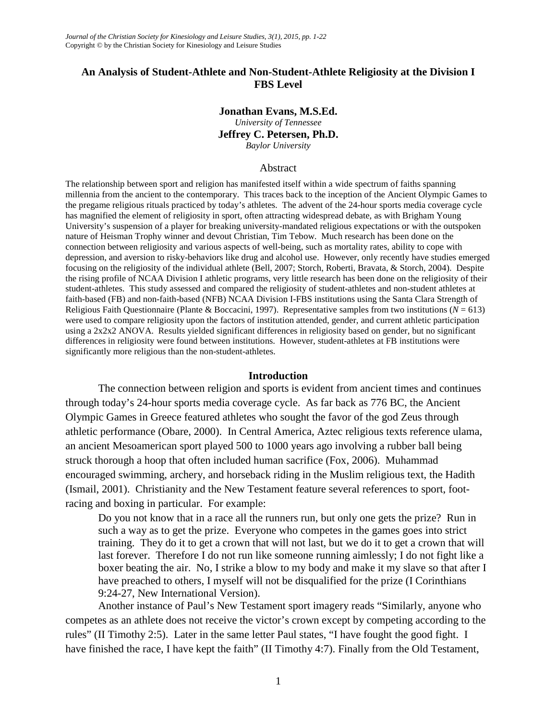# **An Analysis of Student-Athlete and Non-Student-Athlete Religiosity at the Division I FBS Level**

## **Jonathan Evans, M.S.Ed.**

*University of Tennessee*

**Jeffrey C. Petersen, Ph.D.**

*Baylor University*

#### Abstract

The relationship between sport and religion has manifested itself within a wide spectrum of faiths spanning millennia from the ancient to the contemporary. This traces back to the inception of the Ancient Olympic Games to the pregame religious rituals practiced by today's athletes. The advent of the 24-hour sports media coverage cycle has magnified the element of religiosity in sport, often attracting widespread debate, as with Brigham Young University's suspension of a player for breaking university-mandated religious expectations or with the outspoken nature of Heisman Trophy winner and devout Christian, Tim Tebow. Much research has been done on the connection between religiosity and various aspects of well-being, such as mortality rates, ability to cope with depression, and aversion to risky-behaviors like drug and alcohol use. However, only recently have studies emerged focusing on the religiosity of the individual athlete (Bell, 2007; Storch, Roberti, Bravata, & Storch, 2004). Despite the rising profile of NCAA Division I athletic programs, very little research has been done on the religiosity of their student-athletes. This study assessed and compared the religiosity of student-athletes and non-student athletes at faith-based (FB) and non-faith-based (NFB) NCAA Division I-FBS institutions using the Santa Clara Strength of Religious Faith Questionnaire (Plante & Boccacini, 1997). Representative samples from two institutions ( $N = 613$ ) were used to compare religiosity upon the factors of institution attended, gender, and current athletic participation using a 2x2x2 ANOVA. Results yielded significant differences in religiosity based on gender, but no significant differences in religiosity were found between institutions. However, student-athletes at FB institutions were significantly more religious than the non-student-athletes.

# **Introduction**

The connection between religion and sports is evident from ancient times and continues through today's 24-hour sports media coverage cycle. As far back as 776 BC, the Ancient Olympic Games in Greece featured athletes who sought the favor of the god Zeus through athletic performance (Obare, 2000). In Central America, Aztec religious texts reference ulama, an ancient Mesoamerican sport played 500 to 1000 years ago involving a rubber ball being struck thorough a hoop that often included human sacrifice (Fox, 2006). Muhammad encouraged swimming, archery, and horseback riding in the Muslim religious text, the Hadith (Ismail, 2001). Christianity and the New Testament feature several references to sport, footracing and boxing in particular. For example:

Do you not know that in a race all the runners run, but only one gets the prize? Run in such a way as to get the prize. Everyone who competes in the games goes into strict training. They do it to get a crown that will not last, but we do it to get a crown that will last forever. Therefore I do not run like someone running aimlessly; I do not fight like a boxer beating the air. No, I strike a blow to my body and make it my slave so that after I have preached to others, I myself will not be disqualified for the prize (I Corinthians 9:24-27, New International Version).

Another instance of Paul's New Testament sport imagery reads "Similarly, anyone who competes as an athlete does not receive the victor's crown except by competing according to the rules" (II Timothy 2:5). Later in the same letter Paul states, "I have fought the good fight. I have finished the race, I have kept the faith" (II Timothy 4:7). Finally from the Old Testament,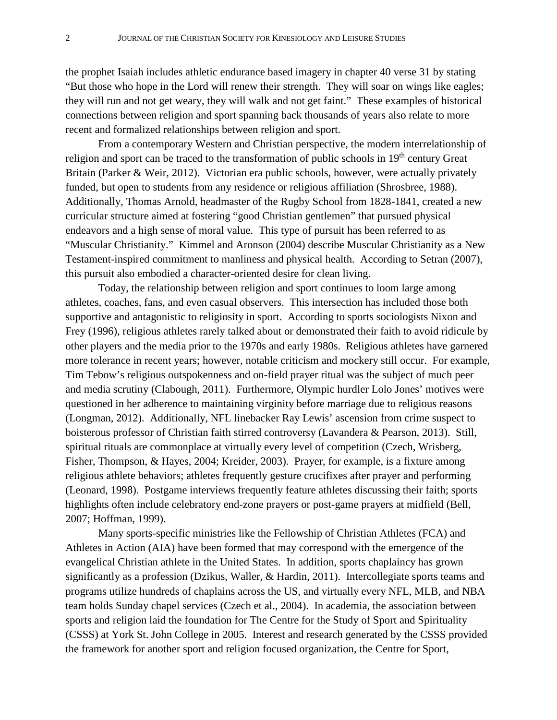the prophet Isaiah includes athletic endurance based imagery in chapter 40 verse 31 by stating "But those who hope in the Lord will renew their strength. They will soar on wings like eagles; they will run and not get weary, they will walk and not get faint." These examples of historical connections between religion and sport spanning back thousands of years also relate to more recent and formalized relationships between religion and sport.

From a contemporary Western and Christian perspective, the modern interrelationship of religion and sport can be traced to the transformation of public schools in 19<sup>th</sup> century Great Britain (Parker & Weir, 2012). Victorian era public schools, however, were actually privately funded, but open to students from any residence or religious affiliation (Shrosbree, 1988). Additionally, Thomas Arnold, headmaster of the Rugby School from 1828-1841, created a new curricular structure aimed at fostering "good Christian gentlemen" that pursued physical endeavors and a high sense of moral value. This type of pursuit has been referred to as "Muscular Christianity." Kimmel and Aronson (2004) describe Muscular Christianity as a New Testament-inspired commitment to manliness and physical health. According to Setran (2007), this pursuit also embodied a character-oriented desire for clean living.

Today, the relationship between religion and sport continues to loom large among athletes, coaches, fans, and even casual observers. This intersection has included those both supportive and antagonistic to religiosity in sport. According to sports sociologists Nixon and Frey (1996), religious athletes rarely talked about or demonstrated their faith to avoid ridicule by other players and the media prior to the 1970s and early 1980s. Religious athletes have garnered more tolerance in recent years; however, notable criticism and mockery still occur. For example, Tim Tebow's religious outspokenness and on-field prayer ritual was the subject of much peer and media scrutiny (Clabough, 2011). Furthermore, Olympic hurdler Lolo Jones' motives were questioned in her adherence to maintaining virginity before marriage due to religious reasons (Longman, 2012). Additionally, NFL linebacker Ray Lewis' ascension from crime suspect to boisterous professor of Christian faith stirred controversy (Lavandera & Pearson, 2013). Still, spiritual rituals are commonplace at virtually every level of competition (Czech, Wrisberg, Fisher, Thompson, & Hayes, 2004; Kreider, 2003). Prayer, for example, is a fixture among religious athlete behaviors; athletes frequently gesture crucifixes after prayer and performing (Leonard, 1998). Postgame interviews frequently feature athletes discussing their faith; sports highlights often include celebratory end-zone prayers or post-game prayers at midfield (Bell, 2007; Hoffman, 1999).

Many sports-specific ministries like the Fellowship of Christian Athletes (FCA) and Athletes in Action (AIA) have been formed that may correspond with the emergence of the evangelical Christian athlete in the United States. In addition, sports chaplaincy has grown significantly as a profession (Dzikus, Waller, & Hardin, 2011). Intercollegiate sports teams and programs utilize hundreds of chaplains across the US, and virtually every NFL, MLB, and NBA team holds Sunday chapel services (Czech et al., 2004). In academia, the association between sports and religion laid the foundation for The Centre for the Study of Sport and Spirituality (CSSS) at York St. John College in 2005. Interest and research generated by the CSSS provided the framework for another sport and religion focused organization, the Centre for Sport,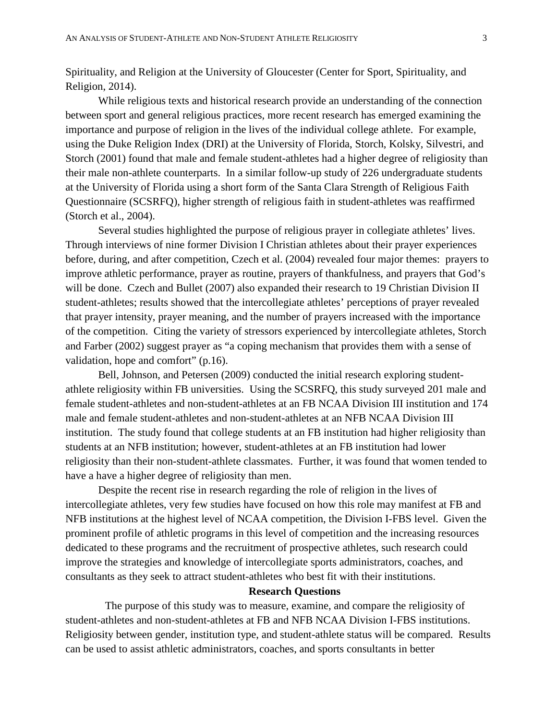Spirituality, and Religion at the University of Gloucester (Center for Sport, Spirituality, and Religion, 2014).

While religious texts and historical research provide an understanding of the connection between sport and general religious practices, more recent research has emerged examining the importance and purpose of religion in the lives of the individual college athlete. For example, using the Duke Religion Index (DRI) at the University of Florida, Storch, Kolsky, Silvestri, and Storch (2001) found that male and female student-athletes had a higher degree of religiosity than their male non-athlete counterparts. In a similar follow-up study of 226 undergraduate students at the University of Florida using a short form of the Santa Clara Strength of Religious Faith Questionnaire (SCSRFQ), higher strength of religious faith in student-athletes was reaffirmed (Storch et al., 2004).

Several studies highlighted the purpose of religious prayer in collegiate athletes' lives. Through interviews of nine former Division I Christian athletes about their prayer experiences before, during, and after competition, Czech et al. (2004) revealed four major themes: prayers to improve athletic performance, prayer as routine, prayers of thankfulness, and prayers that God's will be done. Czech and Bullet (2007) also expanded their research to 19 Christian Division II student-athletes; results showed that the intercollegiate athletes' perceptions of prayer revealed that prayer intensity, prayer meaning, and the number of prayers increased with the importance of the competition. Citing the variety of stressors experienced by intercollegiate athletes, Storch and Farber (2002) suggest prayer as "a coping mechanism that provides them with a sense of validation, hope and comfort" (p.16).

Bell, Johnson, and Petersen (2009) conducted the initial research exploring studentathlete religiosity within FB universities. Using the SCSRFQ, this study surveyed 201 male and female student-athletes and non-student-athletes at an FB NCAA Division III institution and 174 male and female student-athletes and non-student-athletes at an NFB NCAA Division III institution. The study found that college students at an FB institution had higher religiosity than students at an NFB institution; however, student-athletes at an FB institution had lower religiosity than their non-student-athlete classmates. Further, it was found that women tended to have a have a higher degree of religiosity than men.

Despite the recent rise in research regarding the role of religion in the lives of intercollegiate athletes, very few studies have focused on how this role may manifest at FB and NFB institutions at the highest level of NCAA competition, the Division I-FBS level. Given the prominent profile of athletic programs in this level of competition and the increasing resources dedicated to these programs and the recruitment of prospective athletes, such research could improve the strategies and knowledge of intercollegiate sports administrators, coaches, and consultants as they seek to attract student-athletes who best fit with their institutions.

#### **Research Questions**

The purpose of this study was to measure, examine, and compare the religiosity of student-athletes and non-student-athletes at FB and NFB NCAA Division I-FBS institutions. Religiosity between gender, institution type, and student-athlete status will be compared. Results can be used to assist athletic administrators, coaches, and sports consultants in better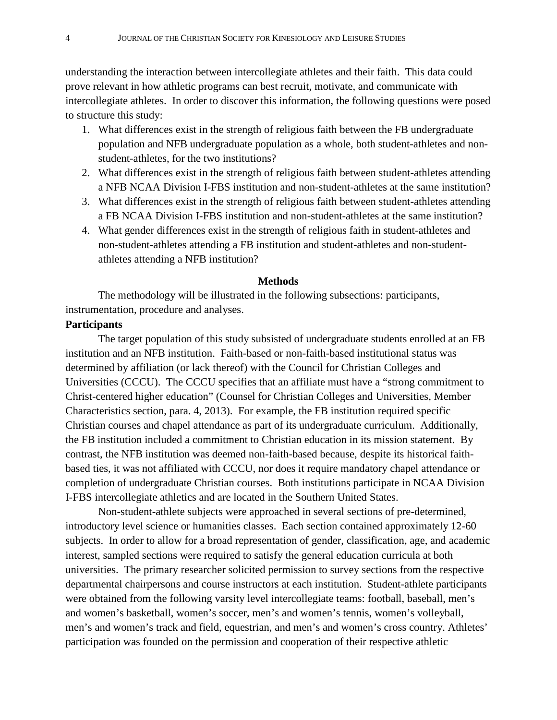understanding the interaction between intercollegiate athletes and their faith. This data could prove relevant in how athletic programs can best recruit, motivate, and communicate with intercollegiate athletes. In order to discover this information, the following questions were posed to structure this study:

- 1. What differences exist in the strength of religious faith between the FB undergraduate population and NFB undergraduate population as a whole, both student-athletes and nonstudent-athletes, for the two institutions?
- 2. What differences exist in the strength of religious faith between student-athletes attending a NFB NCAA Division I-FBS institution and non-student-athletes at the same institution?
- 3. What differences exist in the strength of religious faith between student-athletes attending a FB NCAA Division I-FBS institution and non-student-athletes at the same institution?
- 4. What gender differences exist in the strength of religious faith in student-athletes and non-student-athletes attending a FB institution and student-athletes and non-studentathletes attending a NFB institution?

# **Methods**

The methodology will be illustrated in the following subsections: participants, instrumentation, procedure and analyses.

## **Participants**

The target population of this study subsisted of undergraduate students enrolled at an FB institution and an NFB institution. Faith-based or non-faith-based institutional status was determined by affiliation (or lack thereof) with the Council for Christian Colleges and Universities (CCCU). The CCCU specifies that an affiliate must have a "strong commitment to Christ-centered higher education" (Counsel for Christian Colleges and Universities, Member Characteristics section, para. 4, 2013). For example, the FB institution required specific Christian courses and chapel attendance as part of its undergraduate curriculum. Additionally, the FB institution included a commitment to Christian education in its mission statement. By contrast, the NFB institution was deemed non-faith-based because, despite its historical faithbased ties, it was not affiliated with CCCU, nor does it require mandatory chapel attendance or completion of undergraduate Christian courses. Both institutions participate in NCAA Division I-FBS intercollegiate athletics and are located in the Southern United States.

Non-student-athlete subjects were approached in several sections of pre-determined, introductory level science or humanities classes. Each section contained approximately 12-60 subjects. In order to allow for a broad representation of gender, classification, age, and academic interest, sampled sections were required to satisfy the general education curricula at both universities. The primary researcher solicited permission to survey sections from the respective departmental chairpersons and course instructors at each institution. Student-athlete participants were obtained from the following varsity level intercollegiate teams: football, baseball, men's and women's basketball, women's soccer, men's and women's tennis, women's volleyball, men's and women's track and field, equestrian, and men's and women's cross country. Athletes' participation was founded on the permission and cooperation of their respective athletic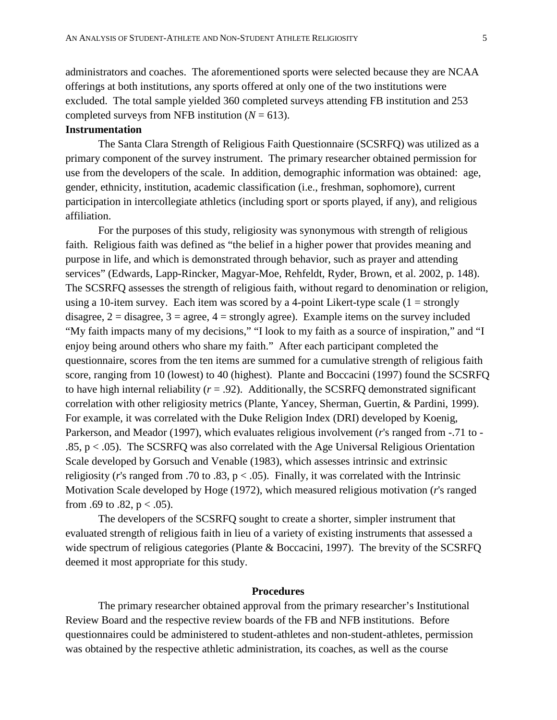administrators and coaches. The aforementioned sports were selected because they are NCAA offerings at both institutions, any sports offered at only one of the two institutions were excluded. The total sample yielded 360 completed surveys attending FB institution and 253 completed surveys from NFB institution  $(N = 613)$ .

# **Instrumentation**

The Santa Clara Strength of Religious Faith Questionnaire (SCSRFQ) was utilized as a primary component of the survey instrument. The primary researcher obtained permission for use from the developers of the scale. In addition, demographic information was obtained: age, gender, ethnicity, institution, academic classification (i.e., freshman, sophomore), current participation in intercollegiate athletics (including sport or sports played, if any), and religious affiliation.

For the purposes of this study, religiosity was synonymous with strength of religious faith. Religious faith was defined as "the belief in a higher power that provides meaning and purpose in life, and which is demonstrated through behavior, such as prayer and attending services" (Edwards, Lapp-Rincker, Magyar-Moe, Rehfeldt, Ryder, Brown, et al. 2002, p. 148). The SCSRFQ assesses the strength of religious faith, without regard to denomination or religion, using a 10-item survey. Each item was scored by a 4-point Likert-type scale  $(1 = \text{strongly})$ disagree,  $2 =$  disagree,  $3 =$  agree,  $4 =$  strongly agree). Example items on the survey included "My faith impacts many of my decisions," "I look to my faith as a source of inspiration," and "I enjoy being around others who share my faith." After each participant completed the questionnaire, scores from the ten items are summed for a cumulative strength of religious faith score, ranging from 10 (lowest) to 40 (highest). Plante and Boccacini (1997) found the SCSRFQ to have high internal reliability  $(r = .92)$ . Additionally, the SCSRFQ demonstrated significant correlation with other religiosity metrics (Plante, Yancey, Sherman, Guertin, & Pardini, 1999). For example, it was correlated with the Duke Religion Index (DRI) developed by Koenig, Parkerson, and Meador (1997), which evaluates religious involvement (*r*'s ranged from -.71 to - .85,  $p < .05$ ). The SCSRFQ was also correlated with the Age Universal Religious Orientation Scale developed by Gorsuch and Venable (1983), which assesses intrinsic and extrinsic religiosity ( $r$ 's ranged from .70 to .83,  $p < .05$ ). Finally, it was correlated with the Intrinsic Motivation Scale developed by Hoge (1972), which measured religious motivation (*r*'s ranged from .69 to .82,  $p < .05$ ).

The developers of the SCSRFQ sought to create a shorter, simpler instrument that evaluated strength of religious faith in lieu of a variety of existing instruments that assessed a wide spectrum of religious categories (Plante & Boccacini, 1997). The brevity of the SCSRFQ deemed it most appropriate for this study.

### **Procedures**

The primary researcher obtained approval from the primary researcher's Institutional Review Board and the respective review boards of the FB and NFB institutions. Before questionnaires could be administered to student-athletes and non-student-athletes, permission was obtained by the respective athletic administration, its coaches, as well as the course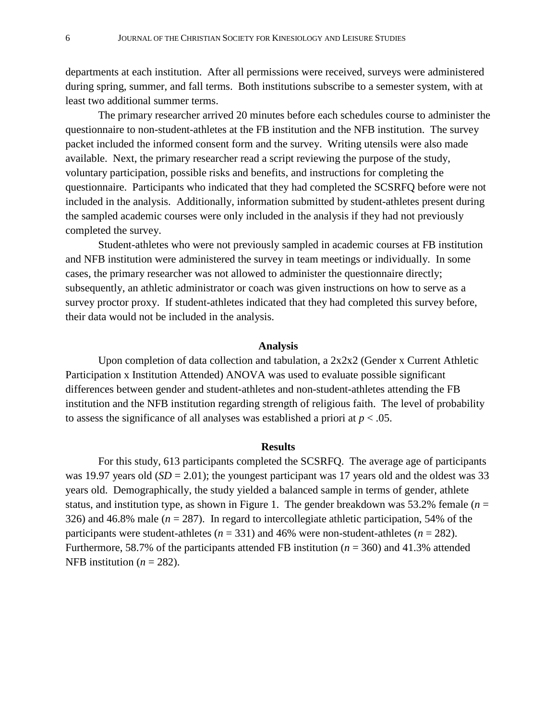departments at each institution. After all permissions were received, surveys were administered during spring, summer, and fall terms. Both institutions subscribe to a semester system, with at least two additional summer terms.

The primary researcher arrived 20 minutes before each schedules course to administer the questionnaire to non-student-athletes at the FB institution and the NFB institution. The survey packet included the informed consent form and the survey. Writing utensils were also made available. Next, the primary researcher read a script reviewing the purpose of the study, voluntary participation, possible risks and benefits, and instructions for completing the questionnaire. Participants who indicated that they had completed the SCSRFQ before were not included in the analysis. Additionally, information submitted by student-athletes present during the sampled academic courses were only included in the analysis if they had not previously completed the survey.

Student-athletes who were not previously sampled in academic courses at FB institution and NFB institution were administered the survey in team meetings or individually. In some cases, the primary researcher was not allowed to administer the questionnaire directly; subsequently, an athletic administrator or coach was given instructions on how to serve as a survey proctor proxy. If student-athletes indicated that they had completed this survey before, their data would not be included in the analysis.

# **Analysis**

Upon completion of data collection and tabulation, a 2x2x2 (Gender x Current Athletic Participation x Institution Attended) ANOVA was used to evaluate possible significant differences between gender and student-athletes and non-student-athletes attending the FB institution and the NFB institution regarding strength of religious faith. The level of probability to assess the significance of all analyses was established a priori at  $p < .05$ .

#### **Results**

For this study, 613 participants completed the SCSRFQ. The average age of participants was 19.97 years old  $(SD = 2.01)$ ; the youngest participant was 17 years old and the oldest was 33 years old. Demographically, the study yielded a balanced sample in terms of gender, athlete status, and institution type, as shown in Figure 1. The gender breakdown was 53.2% female  $(n =$ 326) and 46.8% male (*n* = 287). In regard to intercollegiate athletic participation, 54% of the participants were student-athletes ( $n = 331$ ) and 46% were non-student-athletes ( $n = 282$ ). Furthermore, 58.7% of the participants attended FB institution (*n* = 360) and 41.3% attended NFB institution ( $n = 282$ ).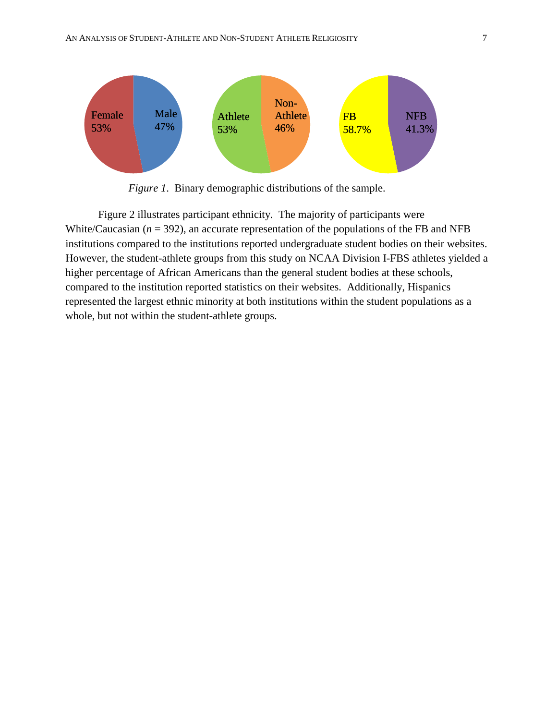

*Figure 1*. Binary demographic distributions of the sample.

Figure 2 illustrates participant ethnicity. The majority of participants were White/Caucasian  $(n = 392)$ , an accurate representation of the populations of the FB and NFB institutions compared to the institutions reported undergraduate student bodies on their websites. However, the student-athlete groups from this study on NCAA Division I-FBS athletes yielded a higher percentage of African Americans than the general student bodies at these schools, compared to the institution reported statistics on their websites. Additionally, Hispanics represented the largest ethnic minority at both institutions within the student populations as a whole, but not within the student-athlete groups.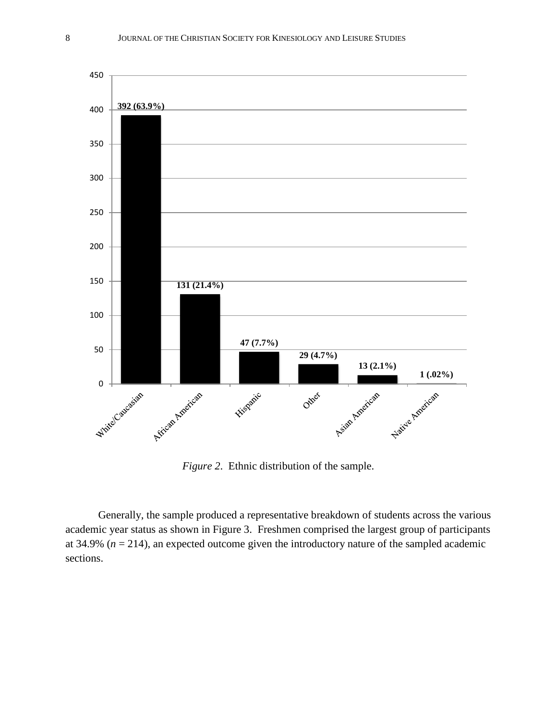

*Figure 2*. Ethnic distribution of the sample.

Generally, the sample produced a representative breakdown of students across the various academic year status as shown in Figure 3. Freshmen comprised the largest group of participants at 34.9% ( $n = 214$ ), an expected outcome given the introductory nature of the sampled academic sections.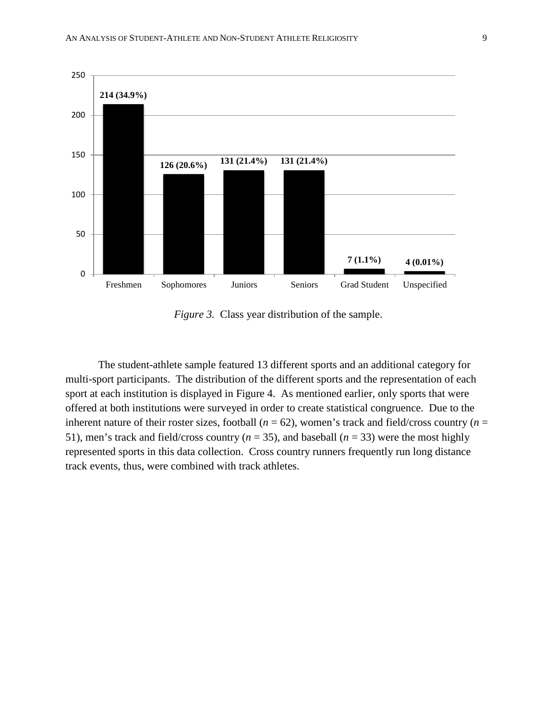

*Figure 3.* Class year distribution of the sample.

The student-athlete sample featured 13 different sports and an additional category for multi-sport participants. The distribution of the different sports and the representation of each sport at each institution is displayed in Figure 4. As mentioned earlier, only sports that were offered at both institutions were surveyed in order to create statistical congruence. Due to the inherent nature of their roster sizes, football ( $n = 62$ ), women's track and field/cross country ( $n =$ 51), men's track and field/cross country ( $n = 35$ ), and baseball ( $n = 33$ ) were the most highly represented sports in this data collection. Cross country runners frequently run long distance track events, thus, were combined with track athletes.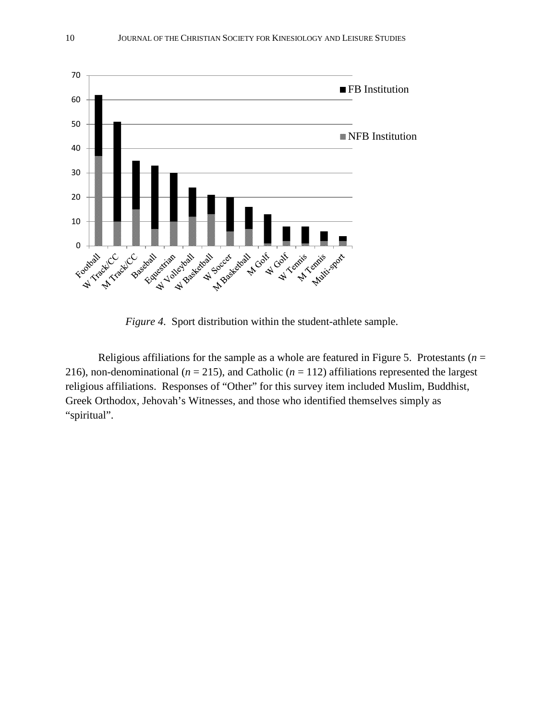

*Figure 4*. Sport distribution within the student-athlete sample.

Religious affiliations for the sample as a whole are featured in Figure 5. Protestants ( $n =$ 216), non-denominational ( $n = 215$ ), and Catholic ( $n = 112$ ) affiliations represented the largest religious affiliations. Responses of "Other" for this survey item included Muslim, Buddhist, Greek Orthodox, Jehovah's Witnesses, and those who identified themselves simply as "spiritual".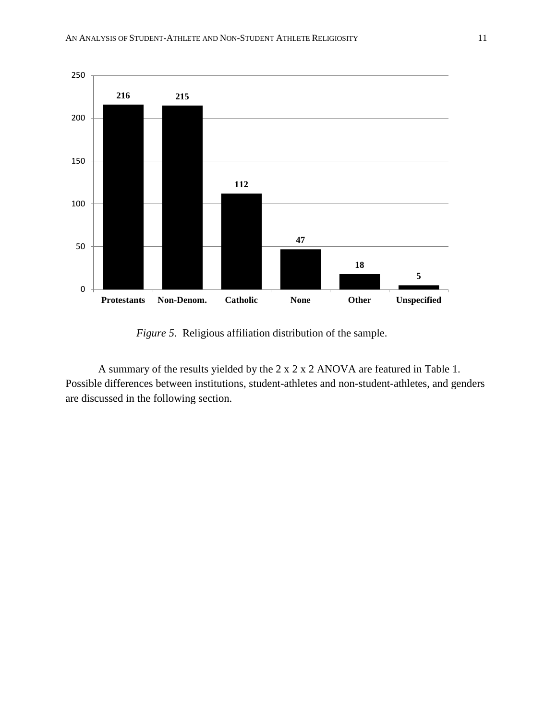

*Figure 5*. Religious affiliation distribution of the sample.

A summary of the results yielded by the 2 x 2 x 2 ANOVA are featured in Table 1. Possible differences between institutions, student-athletes and non-student-athletes, and genders are discussed in the following section.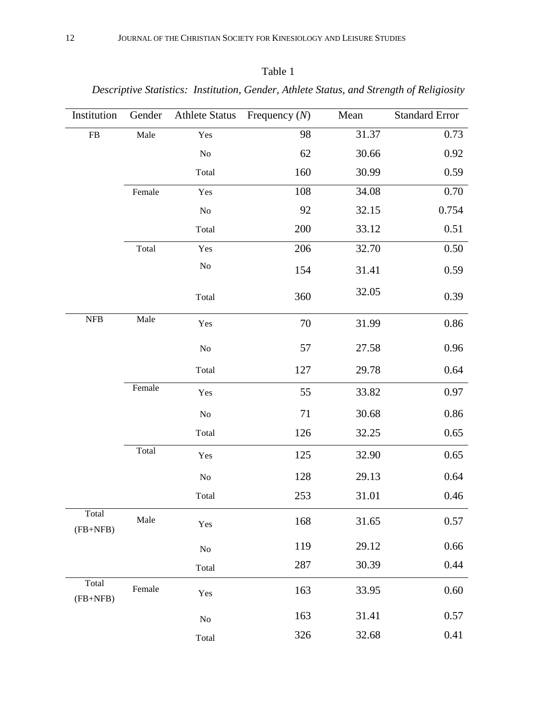| anie |  |
|------|--|
|      |  |

*Descriptive Statistics: Institution, Gender, Athlete Status, and Strength of Religiosity*

| Institution         | Gender | <b>Athlete Status</b> | Frequency $(N)$ | Mean  | <b>Standard Error</b> |
|---------------------|--------|-----------------------|-----------------|-------|-----------------------|
| ${\rm FB}$          | Male   | Yes                   | 98              | 31.37 | 0.73                  |
|                     |        | $\rm No$              | 62              | 30.66 | 0.92                  |
|                     |        | Total                 | 160             | 30.99 | 0.59                  |
|                     | Female | Yes                   | 108             | 34.08 | 0.70                  |
|                     |        | $\rm No$              | 92              | 32.15 | 0.754                 |
|                     |        | Total                 | 200             | 33.12 | 0.51                  |
|                     | Total  | Yes                   | 206             | 32.70 | 0.50                  |
|                     |        | $\rm No$              | 154             | 31.41 | 0.59                  |
|                     |        | Total                 | 360             | 32.05 | 0.39                  |
| ${\rm NFB}$         | Male   | Yes                   | 70              | 31.99 | $0.86\,$              |
|                     |        | N <sub>o</sub>        | 57              | 27.58 | 0.96                  |
|                     |        | Total                 | 127             | 29.78 | 0.64                  |
|                     | Female | Yes                   | 55              | 33.82 | 0.97                  |
|                     |        | $\rm No$              | 71              | 30.68 | $0.86\,$              |
|                     |        | Total                 | 126             | 32.25 | 0.65                  |
|                     | Total  | Yes                   | 125             | 32.90 | 0.65                  |
|                     |        | $\rm No$              | 128             | 29.13 | 0.64                  |
|                     |        | Total                 | 253             | 31.01 | 0.46                  |
| Total<br>$(FB+NFB)$ | Male   | Yes                   | 168             | 31.65 | 0.57                  |
|                     |        | $\rm No$              | 119             | 29.12 | 0.66                  |
|                     |        | Total                 | 287             | 30.39 | 0.44                  |
| Total<br>$(FB+NFB)$ | Female | Yes                   | 163             | 33.95 | 0.60                  |
|                     |        | $\rm No$              | 163             | 31.41 | 0.57                  |
|                     |        | Total                 | 326             | 32.68 | 0.41                  |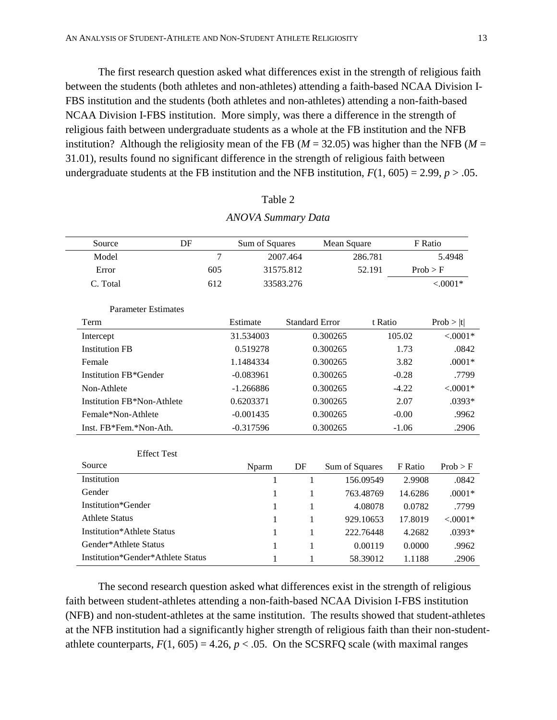The first research question asked what differences exist in the strength of religious faith between the students (both athletes and non-athletes) attending a faith-based NCAA Division I-FBS institution and the students (both athletes and non-athletes) attending a non-faith-based NCAA Division I-FBS institution. More simply, was there a difference in the strength of religious faith between undergraduate students as a whole at the FB institution and the NFB institution? Although the religiosity mean of the FB ( $M = 32.05$ ) was higher than the NFB ( $M =$ 31.01), results found no significant difference in the strength of religious faith between undergraduate students at the FB institution and the NFB institution,  $F(1, 605) = 2.99$ ,  $p > .05$ .

| DF<br>Source                      |     | Sum of Squares |    |                       | Mean Square    | F Ratio  |            |
|-----------------------------------|-----|----------------|----|-----------------------|----------------|----------|------------|
| Model                             | 7   | 2007.464       |    |                       | 286.781        |          | 5.4948     |
| Error                             | 605 | 31575.812      |    |                       | 52.191         | Prob > F |            |
| C. Total                          | 612 | 33583.276      |    |                       |                |          | $< .0001*$ |
| <b>Parameter Estimates</b>        |     |                |    |                       |                |          |            |
| Term                              |     | Estimate       |    | <b>Standard Error</b> | t Ratio        |          | Prob >  t  |
| Intercept                         |     | 31.534003      |    | 0.300265              |                | 105.02   | $< .0001*$ |
| <b>Institution FB</b>             |     | 0.519278       |    | 0.300265              |                | 1.73     | .0842      |
| Female                            |     | 1.1484334      |    | 0.300265              |                | 3.82     | $.0001*$   |
| <b>Institution FB*Gender</b>      |     | $-0.083961$    |    | 0.300265              |                | $-0.28$  | .7799      |
| Non-Athlete                       |     | $-1.266886$    |    | 0.300265              |                | $-4.22$  | $< .0001*$ |
| Institution FB*Non-Athlete        |     | 0.6203371      |    | 0.300265              |                | 2.07     | .0393*     |
| Female*Non-Athlete                |     | $-0.001435$    |    | 0.300265              |                | $-0.00$  | .9962      |
| Inst. FB*Fem.*Non-Ath.            |     | $-0.317596$    |    | 0.300265              |                | $-1.06$  | .2906      |
| <b>Effect Test</b>                |     |                |    |                       |                |          |            |
| Source                            |     | Nparm          | DF |                       | Sum of Squares | F Ratio  | Prob > F   |
| Institution                       |     | 1              |    | $\mathbf{1}$          | 156.09549      | 2.9908   | .0842      |
| Gender                            |     | 1              |    | $\mathbf{1}$          | 763.48769      | 14.6286  | $.0001*$   |
| Institution*Gender                |     | 1              |    | $\mathbf{1}$          | 4.08078        | 0.0782   | .7799      |
| <b>Athlete Status</b>             |     | 1              |    | 1                     | 929.10653      | 17.8019  | $< .0001*$ |
| <b>Institution*Athlete Status</b> |     | 1              |    | $\mathbf{1}$          | 222.76448      | 4.2682   | .0393*     |
| Gender*Athlete Status             |     | 1              |    | 1                     | 0.00119        | 0.0000   | .9962      |
| Institution*Gender*Athlete Status |     | 1              |    | 1                     | 58.39012       | 1.1188   | .2906      |

*ANOVA Summary Data*

Table 2

The second research question asked what differences exist in the strength of religious faith between student-athletes attending a non-faith-based NCAA Division I-FBS institution (NFB) and non-student-athletes at the same institution. The results showed that student-athletes at the NFB institution had a significantly higher strength of religious faith than their non-studentathlete counterparts,  $F(1, 605) = 4.26$ ,  $p < .05$ . On the SCSRFQ scale (with maximal ranges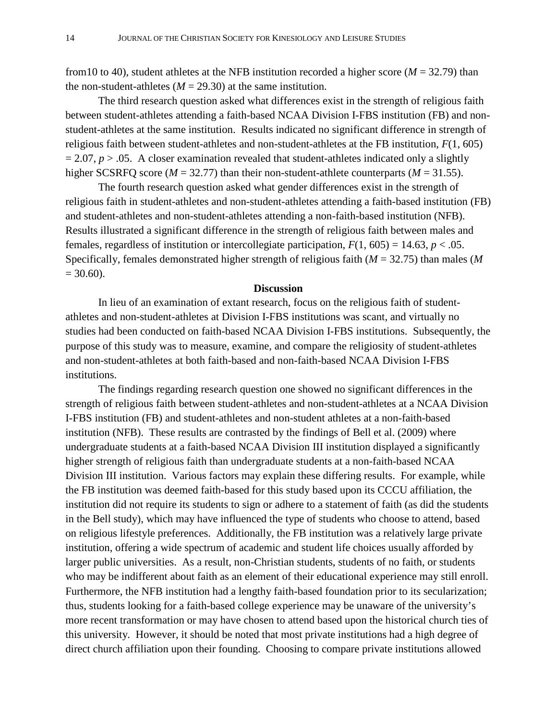from 10 to 40), student athletes at the NFB institution recorded a higher score ( $M = 32.79$ ) than the non-student-athletes  $(M = 29.30)$  at the same institution.

The third research question asked what differences exist in the strength of religious faith between student-athletes attending a faith-based NCAA Division I-FBS institution (FB) and nonstudent-athletes at the same institution. Results indicated no significant difference in strength of religious faith between student-athletes and non-student-athletes at the FB institution, *F*(1, 605)  $= 2.07, p > .05$ . A closer examination revealed that student-athletes indicated only a slightly higher SCSRFQ score ( $M = 32.77$ ) than their non-student-athlete counterparts ( $M = 31.55$ ).

The fourth research question asked what gender differences exist in the strength of religious faith in student-athletes and non-student-athletes attending a faith-based institution (FB) and student-athletes and non-student-athletes attending a non-faith-based institution (NFB). Results illustrated a significant difference in the strength of religious faith between males and females, regardless of institution or intercollegiate participation,  $F(1, 605) = 14.63$ ,  $p < .05$ . Specifically, females demonstrated higher strength of religious faith (*M* = 32.75) than males (*M*   $= 30.60$ ).

## **Discussion**

In lieu of an examination of extant research, focus on the religious faith of studentathletes and non-student-athletes at Division I-FBS institutions was scant, and virtually no studies had been conducted on faith-based NCAA Division I-FBS institutions. Subsequently, the purpose of this study was to measure, examine, and compare the religiosity of student-athletes and non-student-athletes at both faith-based and non-faith-based NCAA Division I-FBS institutions.

The findings regarding research question one showed no significant differences in the strength of religious faith between student-athletes and non-student-athletes at a NCAA Division I-FBS institution (FB) and student-athletes and non-student athletes at a non-faith-based institution (NFB). These results are contrasted by the findings of Bell et al. (2009) where undergraduate students at a faith-based NCAA Division III institution displayed a significantly higher strength of religious faith than undergraduate students at a non-faith-based NCAA Division III institution. Various factors may explain these differing results. For example, while the FB institution was deemed faith-based for this study based upon its CCCU affiliation, the institution did not require its students to sign or adhere to a statement of faith (as did the students in the Bell study), which may have influenced the type of students who choose to attend, based on religious lifestyle preferences. Additionally, the FB institution was a relatively large private institution, offering a wide spectrum of academic and student life choices usually afforded by larger public universities. As a result, non-Christian students, students of no faith, or students who may be indifferent about faith as an element of their educational experience may still enroll. Furthermore, the NFB institution had a lengthy faith-based foundation prior to its secularization; thus, students looking for a faith-based college experience may be unaware of the university's more recent transformation or may have chosen to attend based upon the historical church ties of this university. However, it should be noted that most private institutions had a high degree of direct church affiliation upon their founding. Choosing to compare private institutions allowed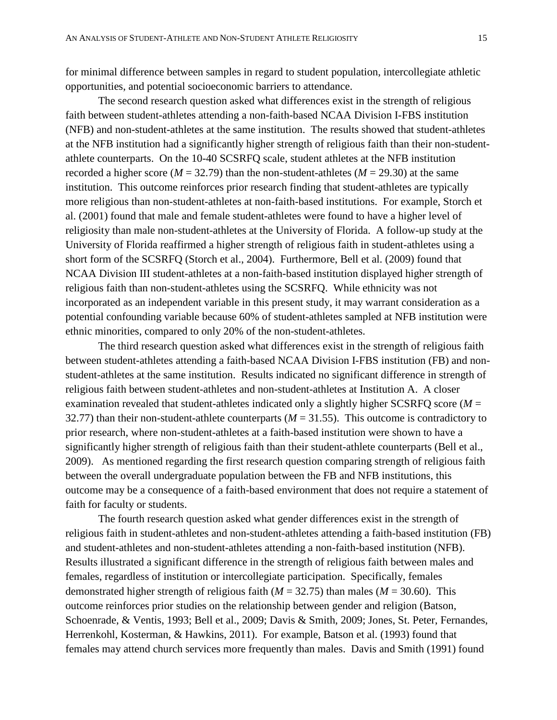for minimal difference between samples in regard to student population, intercollegiate athletic opportunities, and potential socioeconomic barriers to attendance.

The second research question asked what differences exist in the strength of religious faith between student-athletes attending a non-faith-based NCAA Division I-FBS institution (NFB) and non-student-athletes at the same institution. The results showed that student-athletes at the NFB institution had a significantly higher strength of religious faith than their non-studentathlete counterparts. On the 10-40 SCSRFQ scale, student athletes at the NFB institution recorded a higher score ( $M = 32.79$ ) than the non-student-athletes ( $M = 29.30$ ) at the same institution. This outcome reinforces prior research finding that student-athletes are typically more religious than non-student-athletes at non-faith-based institutions. For example, Storch et al. (2001) found that male and female student-athletes were found to have a higher level of religiosity than male non-student-athletes at the University of Florida. A follow-up study at the University of Florida reaffirmed a higher strength of religious faith in student-athletes using a short form of the SCSRFQ (Storch et al., 2004). Furthermore, Bell et al. (2009) found that NCAA Division III student-athletes at a non-faith-based institution displayed higher strength of religious faith than non-student-athletes using the SCSRFQ. While ethnicity was not incorporated as an independent variable in this present study, it may warrant consideration as a potential confounding variable because 60% of student-athletes sampled at NFB institution were ethnic minorities, compared to only 20% of the non-student-athletes.

The third research question asked what differences exist in the strength of religious faith between student-athletes attending a faith-based NCAA Division I-FBS institution (FB) and nonstudent-athletes at the same institution. Results indicated no significant difference in strength of religious faith between student-athletes and non-student-athletes at Institution A. A closer examination revealed that student-athletes indicated only a slightly higher SCSRFQ score (*M* = 32.77) than their non-student-athlete counterparts  $(M = 31.55)$ . This outcome is contradictory to prior research, where non-student-athletes at a faith-based institution were shown to have a significantly higher strength of religious faith than their student-athlete counterparts (Bell et al., 2009). As mentioned regarding the first research question comparing strength of religious faith between the overall undergraduate population between the FB and NFB institutions, this outcome may be a consequence of a faith-based environment that does not require a statement of faith for faculty or students.

The fourth research question asked what gender differences exist in the strength of religious faith in student-athletes and non-student-athletes attending a faith-based institution (FB) and student-athletes and non-student-athletes attending a non-faith-based institution (NFB). Results illustrated a significant difference in the strength of religious faith between males and females, regardless of institution or intercollegiate participation. Specifically, females demonstrated higher strength of religious faith ( $M = 32.75$ ) than males ( $M = 30.60$ ). This outcome reinforces prior studies on the relationship between gender and religion (Batson, Schoenrade, & Ventis, 1993; Bell et al., 2009; Davis & Smith, 2009; Jones, St. Peter, Fernandes, Herrenkohl, Kosterman, & Hawkins, 2011). For example, Batson et al. (1993) found that females may attend church services more frequently than males. Davis and Smith (1991) found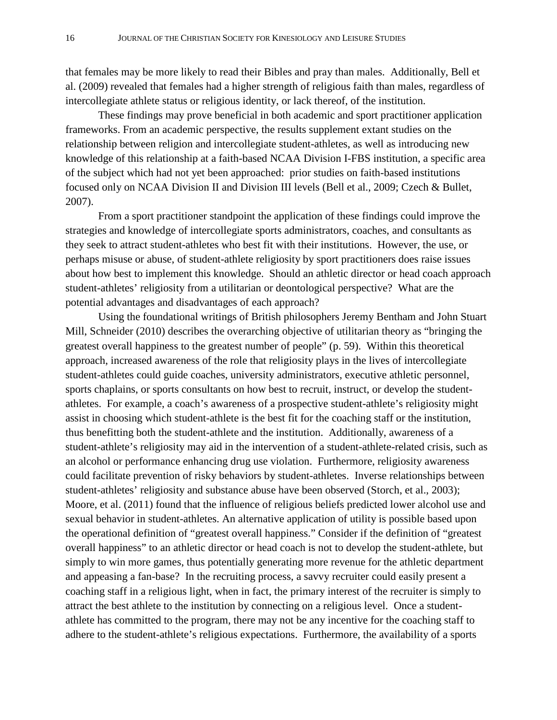that females may be more likely to read their Bibles and pray than males. Additionally, Bell et al. (2009) revealed that females had a higher strength of religious faith than males, regardless of intercollegiate athlete status or religious identity, or lack thereof, of the institution.

These findings may prove beneficial in both academic and sport practitioner application frameworks. From an academic perspective, the results supplement extant studies on the relationship between religion and intercollegiate student-athletes, as well as introducing new knowledge of this relationship at a faith-based NCAA Division I-FBS institution, a specific area of the subject which had not yet been approached: prior studies on faith-based institutions focused only on NCAA Division II and Division III levels (Bell et al., 2009; Czech & Bullet, 2007).

From a sport practitioner standpoint the application of these findings could improve the strategies and knowledge of intercollegiate sports administrators, coaches, and consultants as they seek to attract student-athletes who best fit with their institutions. However, the use, or perhaps misuse or abuse, of student-athlete religiosity by sport practitioners does raise issues about how best to implement this knowledge. Should an athletic director or head coach approach student-athletes' religiosity from a utilitarian or deontological perspective? What are the potential advantages and disadvantages of each approach?

Using the foundational writings of British philosophers Jeremy Bentham and John Stuart Mill, Schneider (2010) describes the overarching objective of utilitarian theory as "bringing the greatest overall happiness to the greatest number of people" (p. 59). Within this theoretical approach, increased awareness of the role that religiosity plays in the lives of intercollegiate student-athletes could guide coaches, university administrators, executive athletic personnel, sports chaplains, or sports consultants on how best to recruit, instruct, or develop the studentathletes. For example, a coach's awareness of a prospective student-athlete's religiosity might assist in choosing which student-athlete is the best fit for the coaching staff or the institution, thus benefitting both the student-athlete and the institution. Additionally, awareness of a student-athlete's religiosity may aid in the intervention of a student-athlete-related crisis, such as an alcohol or performance enhancing drug use violation. Furthermore, religiosity awareness could facilitate prevention of risky behaviors by student-athletes. Inverse relationships between student-athletes' religiosity and substance abuse have been observed (Storch, et al., 2003); Moore, et al. (2011) found that the influence of religious beliefs predicted lower alcohol use and sexual behavior in student-athletes. An alternative application of utility is possible based upon the operational definition of "greatest overall happiness." Consider if the definition of "greatest overall happiness" to an athletic director or head coach is not to develop the student-athlete, but simply to win more games, thus potentially generating more revenue for the athletic department and appeasing a fan-base? In the recruiting process, a savvy recruiter could easily present a coaching staff in a religious light, when in fact, the primary interest of the recruiter is simply to attract the best athlete to the institution by connecting on a religious level. Once a studentathlete has committed to the program, there may not be any incentive for the coaching staff to adhere to the student-athlete's religious expectations. Furthermore, the availability of a sports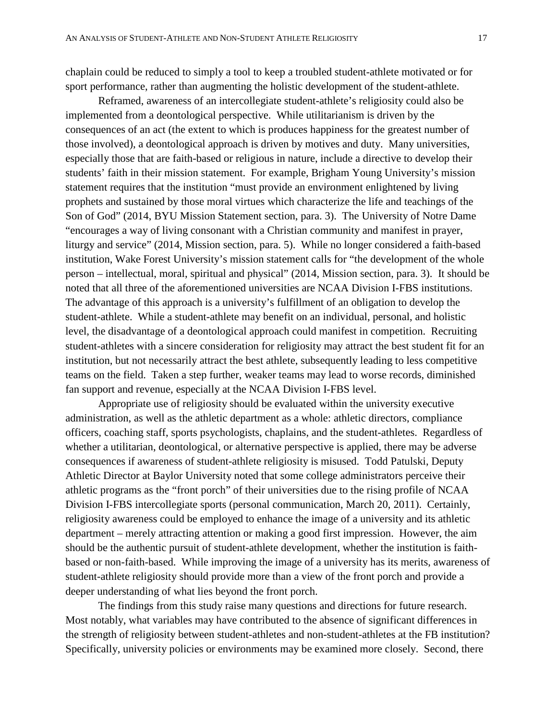chaplain could be reduced to simply a tool to keep a troubled student-athlete motivated or for sport performance, rather than augmenting the holistic development of the student-athlete.

Reframed, awareness of an intercollegiate student-athlete's religiosity could also be implemented from a deontological perspective. While utilitarianism is driven by the consequences of an act (the extent to which is produces happiness for the greatest number of those involved), a deontological approach is driven by motives and duty. Many universities, especially those that are faith-based or religious in nature, include a directive to develop their students' faith in their mission statement. For example, Brigham Young University's mission statement requires that the institution "must provide an environment enlightened by living prophets and sustained by those moral virtues which characterize the life and teachings of the Son of God" (2014, BYU Mission Statement section, para. 3). The University of Notre Dame "encourages a way of living consonant with a Christian community and manifest in prayer, liturgy and service" (2014, Mission section, para. 5). While no longer considered a faith-based institution, Wake Forest University's mission statement calls for "the development of the whole person – intellectual, moral, spiritual and physical" (2014, Mission section, para. 3). It should be noted that all three of the aforementioned universities are NCAA Division I-FBS institutions. The advantage of this approach is a university's fulfillment of an obligation to develop the student-athlete. While a student-athlete may benefit on an individual, personal, and holistic level, the disadvantage of a deontological approach could manifest in competition. Recruiting student-athletes with a sincere consideration for religiosity may attract the best student fit for an institution, but not necessarily attract the best athlete, subsequently leading to less competitive teams on the field. Taken a step further, weaker teams may lead to worse records, diminished fan support and revenue, especially at the NCAA Division I-FBS level.

Appropriate use of religiosity should be evaluated within the university executive administration, as well as the athletic department as a whole: athletic directors, compliance officers, coaching staff, sports psychologists, chaplains, and the student-athletes. Regardless of whether a utilitarian, deontological, or alternative perspective is applied, there may be adverse consequences if awareness of student-athlete religiosity is misused. Todd Patulski, Deputy Athletic Director at Baylor University noted that some college administrators perceive their athletic programs as the "front porch" of their universities due to the rising profile of NCAA Division I-FBS intercollegiate sports (personal communication, March 20, 2011). Certainly, religiosity awareness could be employed to enhance the image of a university and its athletic department – merely attracting attention or making a good first impression. However, the aim should be the authentic pursuit of student-athlete development, whether the institution is faithbased or non-faith-based. While improving the image of a university has its merits, awareness of student-athlete religiosity should provide more than a view of the front porch and provide a deeper understanding of what lies beyond the front porch.

The findings from this study raise many questions and directions for future research. Most notably, what variables may have contributed to the absence of significant differences in the strength of religiosity between student-athletes and non-student-athletes at the FB institution? Specifically, university policies or environments may be examined more closely. Second, there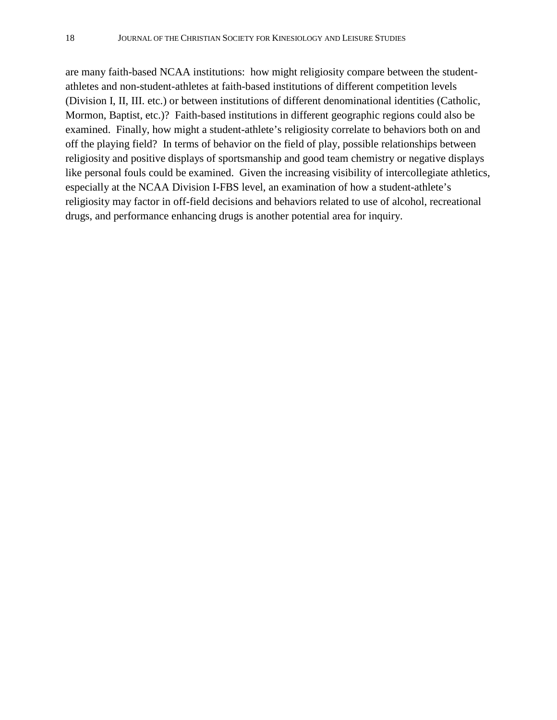are many faith-based NCAA institutions: how might religiosity compare between the studentathletes and non-student-athletes at faith-based institutions of different competition levels (Division I, II, III. etc.) or between institutions of different denominational identities (Catholic, Mormon, Baptist, etc.)? Faith-based institutions in different geographic regions could also be examined. Finally, how might a student-athlete's religiosity correlate to behaviors both on and off the playing field? In terms of behavior on the field of play, possible relationships between religiosity and positive displays of sportsmanship and good team chemistry or negative displays like personal fouls could be examined. Given the increasing visibility of intercollegiate athletics, especially at the NCAA Division I-FBS level, an examination of how a student-athlete's religiosity may factor in off-field decisions and behaviors related to use of alcohol, recreational drugs, and performance enhancing drugs is another potential area for inquiry.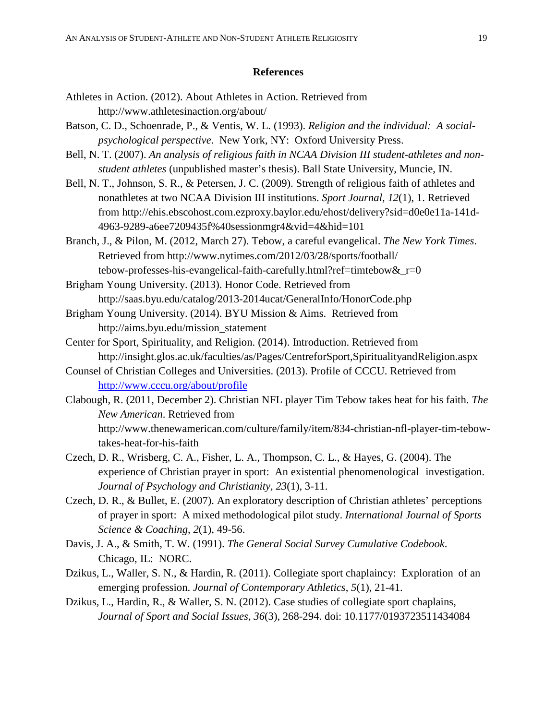# **References**

- Athletes in Action. (2012). About Athletes in Action. Retrieved from http://www.athletesinaction.org/about/
- Batson, C. D., Schoenrade, P., & Ventis, W. L. (1993). *Religion and the individual: A socialpsychological perspective*. New York, NY: Oxford University Press.
- Bell, N. T. (2007). *An analysis of religious faith in NCAA Division III student-athletes and nonstudent athletes* (unpublished master's thesis). Ball State University, Muncie, IN.
- Bell, N. T., Johnson, S. R., & Petersen, J. C. (2009). Strength of religious faith of athletes and nonathletes at two NCAA Division III institutions. *Sport Journal*, *12*(1), 1. Retrieved from http://ehis.ebscohost.com.ezproxy.baylor.edu/ehost/delivery?sid=d0e0e11a-141d-4963-9289-a6ee7209435f%40sessionmgr4&vid=4&hid=101
- Branch, J., & Pilon, M. (2012, March 27). Tebow, a careful evangelical. *The New York Times*. Retrieved from http://www.nytimes.com/2012/03/28/sports/football/ tebow-professes-his-evangelical-faith-carefully.html?ref=timtebow&\_r=0
- Brigham Young University. (2013). Honor Code. Retrieved from http://saas.byu.edu/catalog/2013-2014ucat/GeneralInfo/HonorCode.php
- Brigham Young University. (2014). BYU Mission & Aims. Retrieved from http://aims.byu.edu/mission\_statement
- Center for Sport, Spirituality, and Religion. (2014). Introduction. Retrieved from http://insight.glos.ac.uk/faculties/as/Pages/CentreforSport,SpiritualityandReligion.aspx
- Counsel of Christian Colleges and Universities. (2013). Profile of CCCU. Retrieved from <http://www.cccu.org/about/profile>
- Clabough, R. (2011, December 2). Christian NFL player Tim Tebow takes heat for his faith. *The New American*. Retrieved from http://www.thenewamerican.com/culture/family/item/834-christian-nfl-player-tim-tebowtakes-heat-for-his-faith
- Czech, D. R., Wrisberg, C. A., Fisher, L. A., Thompson, C. L., & Hayes, G. (2004). The experience of Christian prayer in sport: An existential phenomenological investigation. *Journal of Psychology and Christianity*, *23*(1), 3-11.
- Czech, D. R., & Bullet, E. (2007). An exploratory description of Christian athletes' perceptions of prayer in sport: A mixed methodological pilot study. *International Journal of Sports Science & Coaching*, *2*(1), 49-56.
- Davis, J. A., & Smith, T. W. (1991). *The General Social Survey Cumulative Codebook*. Chicago, IL: NORC.
- Dzikus, L., Waller, S. N., & Hardin, R. (2011). Collegiate sport chaplaincy: Exploration of an emerging profession. *Journal of Contemporary Athletics*, *5*(1), 21-41.
- Dzikus, L., Hardin, R., & Waller, S. N. (2012). Case studies of collegiate sport chaplains, *Journal of Sport and Social Issues*, *36*(3), 268-294. doi: 10.1177/0193723511434084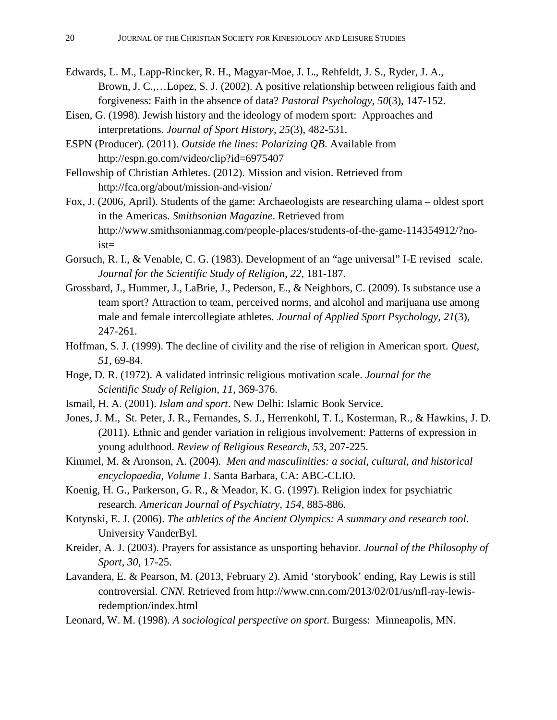- Edwards, L. M., Lapp-Rincker, R. H., Magyar-Moe, J. L., Rehfeldt, J. S., Ryder, J. A., Brown, J. C.,…Lopez, S. J. (2002). A positive relationship between religious faith and forgiveness: Faith in the absence of data? *Pastoral Psychology*, *50*(3), 147-152.
- Eisen, G. (1998). Jewish history and the ideology of modern sport: Approaches and interpretations. *Journal of Sport History*, *25*(3), 482-531.
- ESPN (Producer). (2011). *Outside the lines: Polarizing QB*. Available from http://espn.go.com/video/clip?id=6975407
- Fellowship of Christian Athletes. (2012). Mission and vision. Retrieved from http://fca.org/about/mission-and-vision/
- Fox, J. (2006, April). Students of the game: Archaeologists are researching ulama oldest sport in the Americas. *Smithsonian Magazine*. Retrieved from http://www.smithsonianmag.com/people-places/students-of-the-game-114354912/?noist=
- Gorsuch, R. I., & Venable, C. G. (1983). Development of an "age universal" I-E revised scale. *Journal for the Scientific Study of Religion*, *22*, 181-187.
- Grossbard, J., Hummer, J., LaBrie, J., Pederson, E., & Neighbors, C. (2009). Is substance use a team sport? Attraction to team, perceived norms, and alcohol and marijuana use among male and female intercollegiate athletes. *Journal of Applied Sport Psychology*, *21*(3), 247-261.
- Hoffman, S. J. (1999). The decline of civility and the rise of religion in American sport. *Quest*, *51*, 69-84.
- Hoge, D. R. (1972). A validated intrinsic religious motivation scale. *Journal for the Scientific Study of Religion*, *11*, 369-376.
- Ismail, H. A. (2001). *Islam and sport*. New Delhi: Islamic Book Service.
- Jones, J. M., St. Peter, J. R., Fernandes, S. J., Herrenkohl, T. I., Kosterman, R., & Hawkins, J. D. (2011). Ethnic and gender variation in religious involvement: Patterns of expression in young adulthood. *Review of Religious Research*, *53*, 207-225.
- Kimmel, M. & Aronson, A. (2004). *Men and masculinities: a social, cultural, and historical encyclopaedia, Volume 1*. Santa Barbara, CA: ABC-CLIO.
- Koenig, H. G., Parkerson, G. R., & Meador, K. G. (1997). Religion index for psychiatric research. *American Journal of Psychiatry*, *154*, 885-886.
- Kotynski, E. J. (2006). *The athletics of the Ancient Olympics: A summary and research tool*. University VanderByl.
- Kreider, A. J. (2003). Prayers for assistance as unsporting behavior. *Journal of the Philosophy of Sport*, *30*, 17-25.
- Lavandera, E. & Pearson, M. (2013, February 2). Amid 'storybook' ending, Ray Lewis is still controversial. *CNN*. Retrieved from http://www.cnn.com/2013/02/01/us/nfl-ray-lewisredemption/index.html
- Leonard, W. M. (1998). *A sociological perspective on sport*. Burgess: Minneapolis, MN.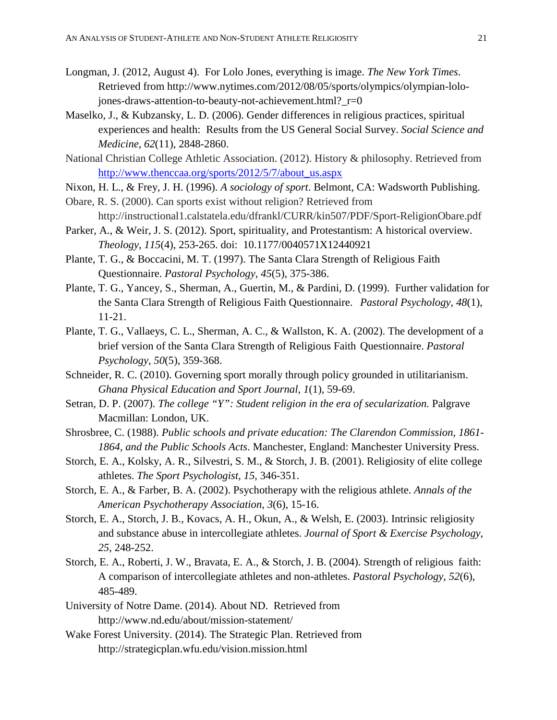- Longman, J. (2012, August 4). For Lolo Jones, everything is image. *The New York Times*. Retrieved from http://www.nytimes.com/2012/08/05/sports/olympics/olympian-lolojones-draws-attention-to-beauty-not-achievement.html? r=0
- Maselko, J., & Kubzansky, L. D. (2006). Gender differences in religious practices, spiritual experiences and health: Results from the US General Social Survey. *Social Science and Medicine*, *62*(11), 2848-2860.
- National Christian College Athletic Association. (2012). History & philosophy. Retrieved from [http://www.thenccaa.org/sports/2012/5/7/about\\_us.aspx](http://www.thenccaa.org/sports/2012/5/7/about_us.aspx)
- Nixon, H. L., & Frey, J. H. (1996). *A sociology of sport*. Belmont, CA: Wadsworth Publishing.
- Obare, R. S. (2000). Can sports exist without religion? Retrieved from http://instructional1.calstatela.edu/dfrankl/CURR/kin507/PDF/Sport-ReligionObare.pdf
- Parker, A., & Weir, J. S. (2012). Sport, spirituality, and Protestantism: A historical overview. *Theology*, *115*(4), 253-265. doi: 10.1177/0040571X12440921
- Plante, T. G., & Boccacini, M. T. (1997). The Santa Clara Strength of Religious Faith Questionnaire. *Pastoral Psychology*, *45*(5), 375-386.
- Plante, T. G., Yancey, S., Sherman, A., Guertin, M., & Pardini, D. (1999). Further validation for the Santa Clara Strength of Religious Faith Questionnaire. *Pastoral Psychology*, *48*(1), 11-21.
- Plante, T. G., Vallaeys, C. L., Sherman, A. C., & Wallston, K. A. (2002). The development of a brief version of the Santa Clara Strength of Religious Faith Questionnaire. *Pastoral Psychology*, *50*(5), 359-368.
- Schneider, R. C. (2010). Governing sport morally through policy grounded in utilitarianism. *Ghana Physical Education and Sport Journal*, *1*(1), 59-69.
- Setran, D. P. (2007). *The college "Y": Student religion in the era of secularization*. Palgrave Macmillan: London, UK.
- Shrosbree, C. (1988). *Public schools and private education: The Clarendon Commission, 1861- 1864, and the Public Schools Acts*. Manchester, England: Manchester University Press.
- Storch, E. A., Kolsky, A. R., Silvestri, S. M., & Storch, J. B. (2001). Religiosity of elite college athletes. *The Sport Psychologist*, *15*, 346-351.
- Storch, E. A., & Farber, B. A. (2002). Psychotherapy with the religious athlete. *Annals of the American Psychotherapy Association*, *3*(6), 15-16.
- Storch, E. A., Storch, J. B., Kovacs, A. H., Okun, A., & Welsh, E. (2003). Intrinsic religiosity and substance abuse in intercollegiate athletes. *Journal of Sport & Exercise Psychology*, *25*, 248-252.
- Storch, E. A., Roberti, J. W., Bravata, E. A., & Storch, J. B. (2004). Strength of religious faith: A comparison of intercollegiate athletes and non-athletes. *Pastoral Psychology*, *52*(6), 485-489.
- University of Notre Dame. (2014). About ND. Retrieved from http://www.nd.edu/about/mission-statement/
- Wake Forest University. (2014). The Strategic Plan. Retrieved from http://strategicplan.wfu.edu/vision.mission.html